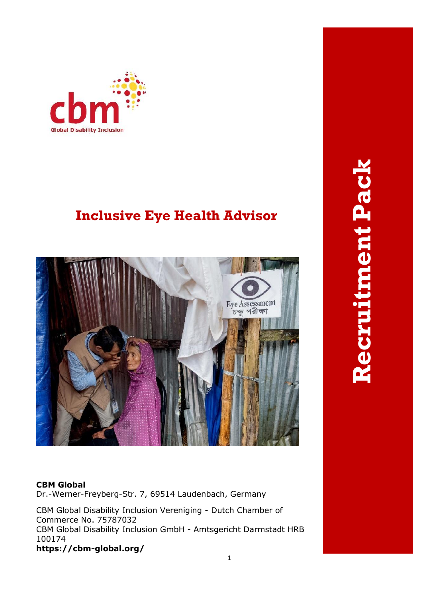

# **Inclusive Eye Health Advisor**



# **Recruitment PackRecruitment Pack**

#### **CBM Global**

Dr.-Werner-Freyberg-Str. 7, 69514 Laudenbach, Germany

CBM Global Disability Inclusion Vereniging - Dutch Chamber of Commerce No. 75787032 CBM Global Disability Inclusion GmbH - Amtsgericht Darmstadt HRB 100174 **https://cbm-global.org/**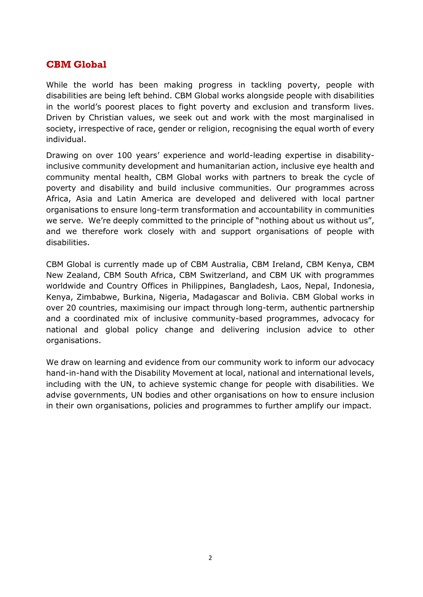# **CBM Global**

While the world has been making progress in tackling poverty, people with disabilities are being left behind. CBM Global works alongside people with disabilities in the world's poorest places to fight poverty and exclusion and transform lives. Driven by Christian values, we seek out and work with the most marginalised in society, irrespective of race, gender or religion, recognising the equal worth of every individual.

Drawing on over 100 years' experience and world-leading expertise in disabilityinclusive community development and humanitarian action, inclusive eye health and community mental health, CBM Global works with partners to break the cycle of poverty and disability and build inclusive communities. Our programmes across Africa, Asia and Latin America are developed and delivered with local partner organisations to ensure long-term transformation and accountability in communities we serve. We're deeply committed to the principle of "nothing about us without us", and we therefore work closely with and support organisations of people with disabilities.

CBM Global is currently made up of CBM Australia, CBM Ireland, CBM Kenya, CBM New Zealand, CBM South Africa, CBM Switzerland, and CBM UK with programmes worldwide and Country Offices in Philippines, Bangladesh, Laos, Nepal, Indonesia, Kenya, Zimbabwe, Burkina, Nigeria, Madagascar and Bolivia. CBM Global works in over 20 countries, maximising our impact through long-term, authentic partnership and a coordinated mix of inclusive community-based programmes, advocacy for national and global policy change and delivering inclusion advice to other organisations.

We draw on learning and evidence from our community work to inform our advocacy hand-in-hand with the Disability Movement at local, national and international levels, including with the UN, to achieve systemic change for people with disabilities. We advise governments, UN bodies and other organisations on how to ensure inclusion in their own organisations, policies and programmes to further amplify our impact.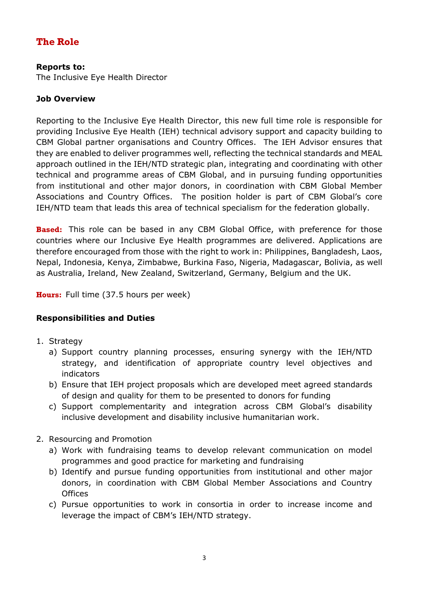# **The Role**

#### **Reports to:**

The Inclusive Eye Health Director

## **Job Overview**

Reporting to the Inclusive Eye Health Director, this new full time role is responsible for providing Inclusive Eye Health (IEH) technical advisory support and capacity building to CBM Global partner organisations and Country Offices. The IEH Advisor ensures that they are enabled to deliver programmes well, reflecting the technical standards and MEAL approach outlined in the IEH/NTD strategic plan, integrating and coordinating with other technical and programme areas of CBM Global, and in pursuing funding opportunities from institutional and other major donors, in coordination with CBM Global Member Associations and Country Offices. The position holder is part of CBM Global's core IEH/NTD team that leads this area of technical specialism for the federation globally.

**Based:** This role can be based in any CBM Global Office, with preference for those countries where our Inclusive Eye Health programmes are delivered. Applications are therefore encouraged from those with the right to work in: Philippines, Bangladesh, Laos, Nepal, Indonesia, Kenya, Zimbabwe, Burkina Faso, Nigeria, Madagascar, Bolivia, as well as Australia, Ireland, New Zealand, Switzerland, Germany, Belgium and the UK.

**Hours:** Full time (37.5 hours per week)

# **Responsibilities and Duties**

- 1. Strategy
	- a) Support country planning processes, ensuring synergy with the IEH/NTD strategy, and identification of appropriate country level objectives and indicators
	- b) Ensure that IEH project proposals which are developed meet agreed standards of design and quality for them to be presented to donors for funding
	- c) Support complementarity and integration across CBM Global's disability inclusive development and disability inclusive humanitarian work.
- 2. Resourcing and Promotion
	- a) Work with fundraising teams to develop relevant communication on model programmes and good practice for marketing and fundraising
	- b) Identify and pursue funding opportunities from institutional and other major donors, in coordination with CBM Global Member Associations and Country **Offices**
	- c) Pursue opportunities to work in consortia in order to increase income and leverage the impact of CBM's IEH/NTD strategy.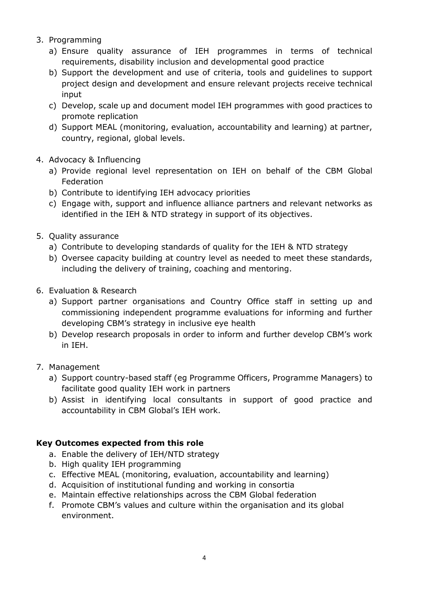- 3. Programming
	- a) Ensure quality assurance of IEH programmes in terms of technical requirements, disability inclusion and developmental good practice
	- b) Support the development and use of criteria, tools and guidelines to support project design and development and ensure relevant projects receive technical input
	- c) Develop, scale up and document model IEH programmes with good practices to promote replication
	- d) Support MEAL (monitoring, evaluation, accountability and learning) at partner, country, regional, global levels.
- 4. Advocacy & Influencing
	- a) Provide regional level representation on IEH on behalf of the CBM Global Federation
	- b) Contribute to identifying IEH advocacy priorities
	- c) Engage with, support and influence alliance partners and relevant networks as identified in the IEH & NTD strategy in support of its objectives.
- 5. Quality assurance
	- a) Contribute to developing standards of quality for the IEH & NTD strategy
	- b) Oversee capacity building at country level as needed to meet these standards, including the delivery of training, coaching and mentoring.
- 6. Evaluation & Research
	- a) Support partner organisations and Country Office staff in setting up and commissioning independent programme evaluations for informing and further developing CBM's strategy in inclusive eye health
	- b) Develop research proposals in order to inform and further develop CBM's work in IEH.
- 7. Management
	- a) Support country-based staff (eg Programme Officers, Programme Managers) to facilitate good quality IEH work in partners
	- b) Assist in identifying local consultants in support of good practice and accountability in CBM Global's IEH work.

#### **Key Outcomes expected from this role**

- a. Enable the delivery of IEH/NTD strategy
- b. High quality IEH programming
- c. Effective MEAL (monitoring, evaluation, accountability and learning)
- d. Acquisition of institutional funding and working in consortia
- e. Maintain effective relationships across the CBM Global federation
- f. Promote CBM's values and culture within the organisation and its global environment.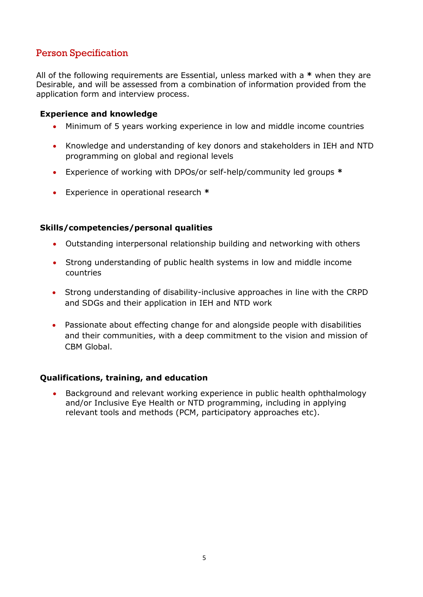# Person Specification

All of the following requirements are Essential, unless marked with a **\*** when they are Desirable, and will be assessed from a combination of information provided from the application form and interview process.

#### **Experience and knowledge**

- Minimum of 5 years working experience in low and middle income countries
- Knowledge and understanding of key donors and stakeholders in IEH and NTD programming on global and regional levels
- Experience of working with DPOs/or self-help/community led groups **\***
- Experience in operational research **\***

#### **Skills/competencies/personal qualities**

- Outstanding interpersonal relationship building and networking with others
- **•** Strong understanding of public health systems in low and middle income  $\alpha$ discount in IEH and  $\alpha$ countries
- Strong understanding of disability-inclusive approaches in line with the CRPD<br>and SDGs and their application in IEU and NTD weak and SDGs and their application in IEH and NTD work
- Passionate about effecting change for and alongside people with disabilities and their communities, with a deep commitment to the vision and mission of CBM Global.

#### **Qualifications, training, and education**

 Background and relevant working experience in public health ophthalmology and/or Inclusive Eye Health or NTD programming, including in applying relevant tools and methods (PCM, participatory approaches etc).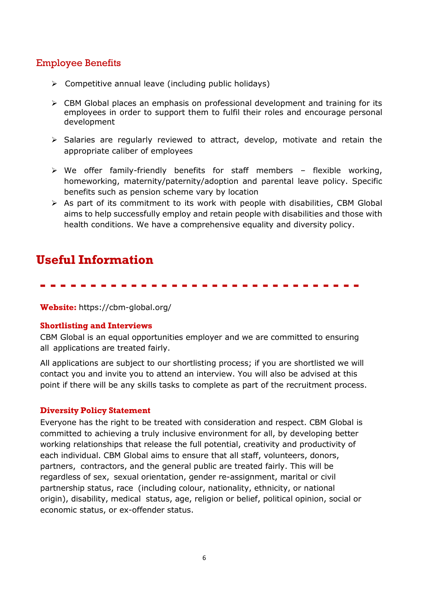## Employee Benefits

- $\triangleright$  Competitive annual leave (including public holidays)
- $\triangleright$  CBM Global places an emphasis on professional development and training for its employees in order to support them to fulfil their roles and encourage personal development
- $\triangleright$  Salaries are regularly reviewed to attract, develop, motivate and retain the appropriate caliber of employees
- $\triangleright$  We offer family-friendly benefits for staff members flexible working, homeworking, maternity/paternity/adoption and parental leave policy. Specific benefits such as pension scheme vary by location
- $\triangleright$  As part of its commitment to its work with people with disabilities, CBM Global aims to help successfully employ and retain people with disabilities and those with health conditions. We have a comprehensive equality and diversity policy.

# **Useful Information**

# ---------------------------------

**Website:** https://cbm-global.org/

#### **Shortlisting and Interviews**

CBM Global is an equal opportunities employer and we are committed to ensuring all applications are treated fairly.

All applications are subject to our shortlisting process; if you are shortlisted we will contact you and invite you to attend an interview. You will also be advised at this point if there will be any skills tasks to complete as part of the recruitment process.

#### **Diversity Policy Statement**

Everyone has the right to be treated with consideration and respect. CBM Global is committed to achieving a truly inclusive environment for all, by developing better working relationships that release the full potential, creativity and productivity of each individual. CBM Global aims to ensure that all staff, volunteers, donors, partners, contractors, and the general public are treated fairly. This will be regardless of sex, sexual orientation, gender re-assignment, marital or civil partnership status, race (including colour, nationality, ethnicity, or national origin), disability, medical status, age, religion or belief, political opinion, social or economic status, or ex-offender status.